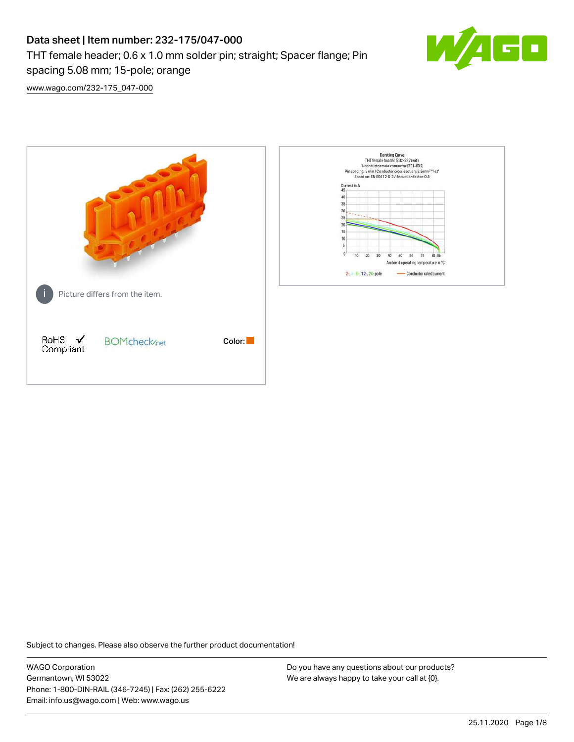# Data sheet | Item number: 232-175/047-000 THT female header; 0.6 x 1.0 mm solder pin; straight; Spacer flange; Pin spacing 5.08 mm; 15-pole; orange



[www.wago.com/232-175\\_047-000](http://www.wago.com/232-175_047-000)



Subject to changes. Please also observe the further product documentation!

WAGO Corporation Germantown, WI 53022 Phone: 1-800-DIN-RAIL (346-7245) | Fax: (262) 255-6222 Email: info.us@wago.com | Web: www.wago.us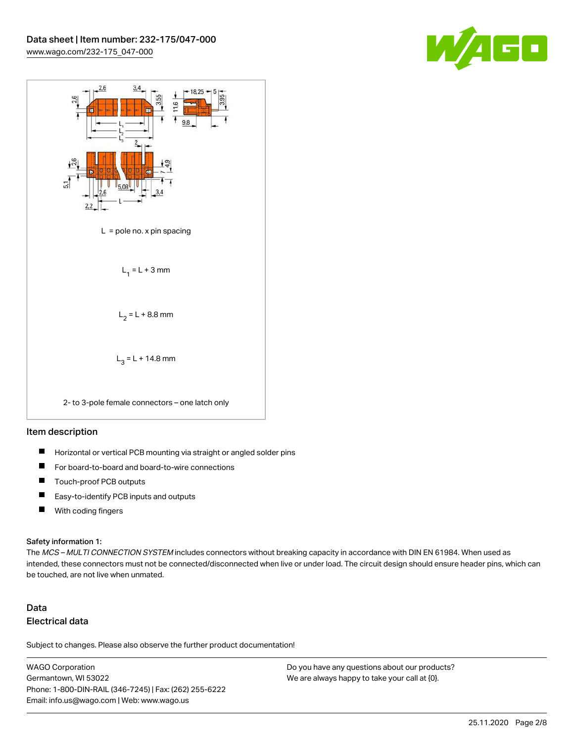



#### Item description

- $\blacksquare$ Horizontal or vertical PCB mounting via straight or angled solder pins
- П For board-to-board and board-to-wire connections
- $\blacksquare$ Touch-proof PCB outputs
- $\blacksquare$ Easy-to-identify PCB inputs and outputs
- $\blacksquare$ With coding fingers

#### Safety information 1:

The MCS - MULTI CONNECTION SYSTEM includes connectors without breaking capacity in accordance with DIN EN 61984. When used as intended, these connectors must not be connected/disconnected when live or under load. The circuit design should ensure header pins, which can be touched, are not live when unmated.

## Data Electrical data

Subject to changes. Please also observe the further product documentation!

WAGO Corporation Germantown, WI 53022 Phone: 1-800-DIN-RAIL (346-7245) | Fax: (262) 255-6222 Email: info.us@wago.com | Web: www.wago.us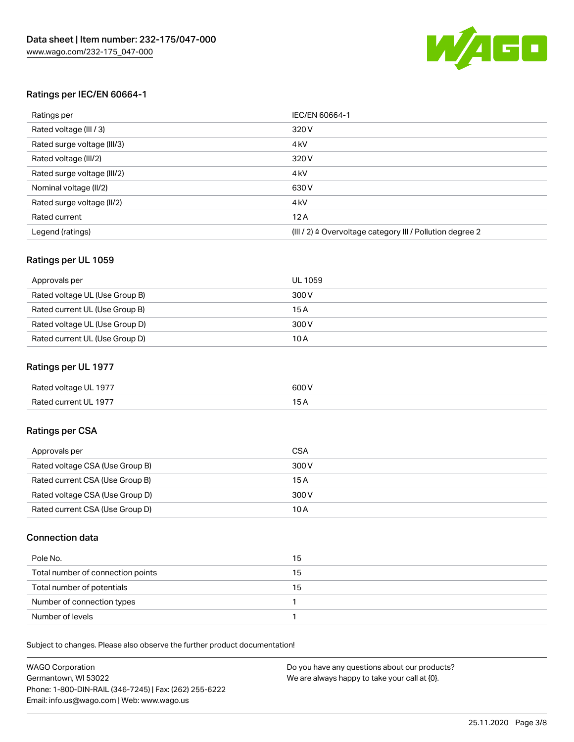

#### Ratings per IEC/EN 60664-1

| Ratings per                 | IEC/EN 60664-1                                                        |
|-----------------------------|-----------------------------------------------------------------------|
| Rated voltage (III / 3)     | 320 V                                                                 |
| Rated surge voltage (III/3) | 4 <sub>k</sub> V                                                      |
| Rated voltage (III/2)       | 320 V                                                                 |
| Rated surge voltage (III/2) | 4 <sub>k</sub> V                                                      |
| Nominal voltage (II/2)      | 630 V                                                                 |
| Rated surge voltage (II/2)  | 4 <sub>k</sub> V                                                      |
| Rated current               | 12A                                                                   |
| Legend (ratings)            | $(III / 2)$ $\triangle$ Overvoltage category III / Pollution degree 2 |

#### Ratings per UL 1059

| Approvals per                  | UL 1059 |
|--------------------------------|---------|
| Rated voltage UL (Use Group B) | 300 V   |
| Rated current UL (Use Group B) | 15 A    |
| Rated voltage UL (Use Group D) | 300 V   |
| Rated current UL (Use Group D) | 10A     |

#### Ratings per UL 1977

| Rated voltage UL 1977 | 600 <sup>V</sup><br>. |
|-----------------------|-----------------------|
| Rated current UL 1977 |                       |

### Ratings per CSA

| Approvals per                   | CSA   |
|---------------------------------|-------|
| Rated voltage CSA (Use Group B) | 300 V |
| Rated current CSA (Use Group B) | 15 A  |
| Rated voltage CSA (Use Group D) | 300 V |
| Rated current CSA (Use Group D) | 10 A  |

#### Connection data

| Pole No.                          | 15 |
|-----------------------------------|----|
| Total number of connection points | 15 |
| Total number of potentials        | 15 |
| Number of connection types        |    |
| Number of levels                  |    |

Subject to changes. Please also observe the further product documentation!

| <b>WAGO Corporation</b>                                | Do you have any questions about our products? |
|--------------------------------------------------------|-----------------------------------------------|
| Germantown, WI 53022                                   | We are always happy to take your call at {0}. |
| Phone: 1-800-DIN-RAIL (346-7245)   Fax: (262) 255-6222 |                                               |
| Email: info.us@wago.com   Web: www.wago.us             |                                               |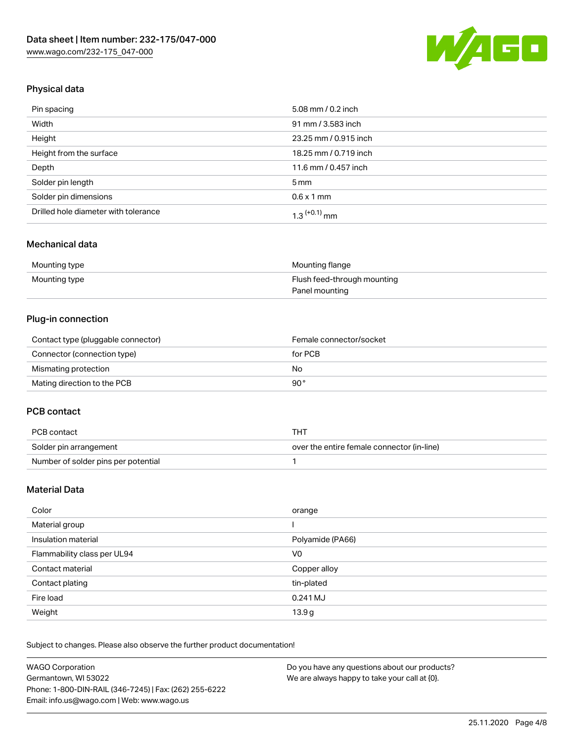

## Physical data

| Pin spacing                          | 5.08 mm / 0.2 inch    |
|--------------------------------------|-----------------------|
| Width                                | 91 mm / 3.583 inch    |
| Height                               | 23.25 mm / 0.915 inch |
| Height from the surface              | 18.25 mm / 0.719 inch |
| Depth                                | 11.6 mm / 0.457 inch  |
| Solder pin length                    | $5 \,\mathrm{mm}$     |
| Solder pin dimensions                | $0.6 \times 1$ mm     |
| Drilled hole diameter with tolerance | $1.3$ $(+0.1)$ mm     |

### Mechanical data

| Mounting type | Mounting flange             |
|---------------|-----------------------------|
| Mounting type | Flush feed-through mounting |
|               | Panel mounting              |

## Plug-in connection

| Contact type (pluggable connector) | Female connector/socket |
|------------------------------------|-------------------------|
| Connector (connection type)        | for PCB                 |
| Mismating protection               | No                      |
| Mating direction to the PCB        | 90°                     |

#### PCB contact

| PCB contact                         | тнт                                        |
|-------------------------------------|--------------------------------------------|
| Solder pin arrangement              | over the entire female connector (in-line) |
| Number of solder pins per potential |                                            |

## Material Data

| Color                       | orange           |
|-----------------------------|------------------|
| Material group              |                  |
| Insulation material         | Polyamide (PA66) |
| Flammability class per UL94 | V0               |
| Contact material            | Copper alloy     |
| Contact plating             | tin-plated       |
| Fire load                   | 0.241 MJ         |
| Weight                      | 13.9g            |

Subject to changes. Please also observe the further product documentation!

| <b>WAGO Corporation</b>                                | Do you have any questions about our products? |
|--------------------------------------------------------|-----------------------------------------------|
| Germantown, WI 53022                                   | We are always happy to take your call at {0}. |
| Phone: 1-800-DIN-RAIL (346-7245)   Fax: (262) 255-6222 |                                               |
| Email: info.us@wago.com   Web: www.wago.us             |                                               |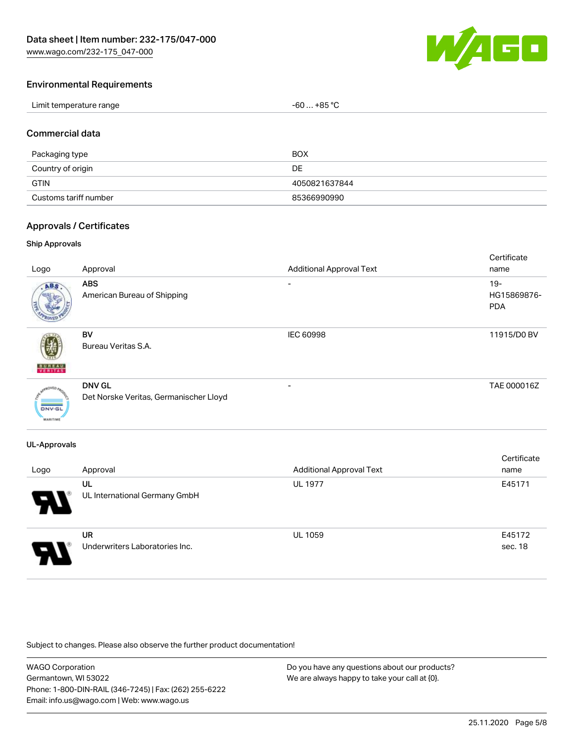[www.wago.com/232-175\\_047-000](http://www.wago.com/232-175_047-000)



#### Environmental Requirements

| Limit temperature range | $-60+85 °C$ |
|-------------------------|-------------|
|-------------------------|-------------|

#### Commercial data

| Packaging type        | <b>BOX</b>    |
|-----------------------|---------------|
| Country of origin     | DE            |
| <b>GTIN</b>           | 4050821637844 |
| Customs tariff number | 85366990990   |

#### Approvals / Certificates

#### Ship Approvals

| Logo                             | Approval                                                | <b>Additional Approval Text</b> | Certificate<br>name                 |
|----------------------------------|---------------------------------------------------------|---------------------------------|-------------------------------------|
| ABS                              | <b>ABS</b><br>American Bureau of Shipping               | ۰                               | $19 -$<br>HG15869876-<br><b>PDA</b> |
| <b>BUNEAU</b>                    | <b>BV</b><br>Bureau Veritas S.A.                        | IEC 60998                       | 11915/D0 BV                         |
| <b>DNV-GL</b><br><b>MARITIME</b> | <b>DNV GL</b><br>Det Norske Veritas, Germanischer Lloyd | $\overline{\phantom{a}}$        | TAE 000016Z                         |

#### UL-Approvals

| Logo                       | Approval                                    | <b>Additional Approval Text</b> | Certificate<br>name |
|----------------------------|---------------------------------------------|---------------------------------|---------------------|
| $\boldsymbol{\mathcal{A}}$ | UL<br>UL International Germany GmbH         | <b>UL 1977</b>                  | E45171              |
| 8                          | <b>UR</b><br>Underwriters Laboratories Inc. | <b>UL 1059</b>                  | E45172<br>sec. 18   |

Subject to changes. Please also observe the further product documentation!

WAGO Corporation Germantown, WI 53022 Phone: 1-800-DIN-RAIL (346-7245) | Fax: (262) 255-6222 Email: info.us@wago.com | Web: www.wago.us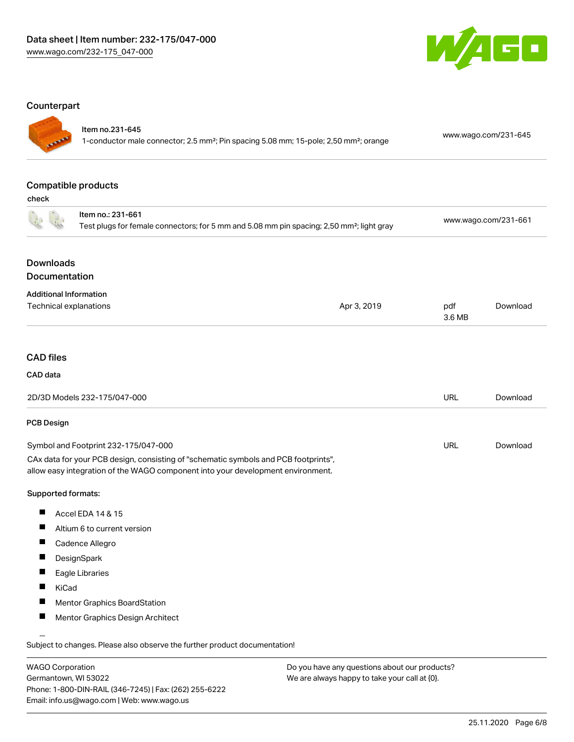

#### **Counterpart**

## Item no.231-645

1-conductor male connector; 2.5 mm²; Pin spacing 5.08 mm; 15-pole; 2,50 mm²; orange [www.wago.com/231-645](https://www.wago.com/231-645)

## Compatible products

check

|                                      | Item no.: 231-661<br>Test plugs for female connectors; for 5 mm and 5.08 mm pin spacing; 2,50 mm <sup>2</sup> ; light gray                                             |             | www.wago.com/231-661 |          |
|--------------------------------------|------------------------------------------------------------------------------------------------------------------------------------------------------------------------|-------------|----------------------|----------|
| <b>Downloads</b>                     |                                                                                                                                                                        |             |                      |          |
| Documentation                        |                                                                                                                                                                        |             |                      |          |
|                                      | <b>Additional Information</b>                                                                                                                                          |             |                      |          |
|                                      | Technical explanations                                                                                                                                                 | Apr 3, 2019 | pdf<br>3.6 MB        | Download |
|                                      |                                                                                                                                                                        |             |                      |          |
| <b>CAD files</b>                     |                                                                                                                                                                        |             |                      |          |
| CAD data                             |                                                                                                                                                                        |             |                      |          |
|                                      | 2D/3D Models 232-175/047-000                                                                                                                                           |             | <b>URL</b>           | Download |
| PCB Design                           |                                                                                                                                                                        |             |                      |          |
| Symbol and Footprint 232-175/047-000 |                                                                                                                                                                        | <b>URL</b>  | Download             |          |
|                                      | CAx data for your PCB design, consisting of "schematic symbols and PCB footprints",<br>allow easy integration of the WAGO component into your development environment. |             |                      |          |
| Supported formats:                   |                                                                                                                                                                        |             |                      |          |
| ш                                    | Accel EDA 14 & 15                                                                                                                                                      |             |                      |          |
| Ш                                    | Altium 6 to current version                                                                                                                                            |             |                      |          |
| Ш                                    | Cadence Allegro                                                                                                                                                        |             |                      |          |
| ш                                    | DesignSpark                                                                                                                                                            |             |                      |          |
| ш                                    | Eagle Libraries                                                                                                                                                        |             |                      |          |
| П                                    | KiCad                                                                                                                                                                  |             |                      |          |
| ш                                    | <b>Mentor Graphics BoardStation</b>                                                                                                                                    |             |                      |          |
| ш                                    | Mentor Graphics Design Architect                                                                                                                                       |             |                      |          |
|                                      | Subject to changes. Please also observe the further product documentation!                                                                                             |             |                      |          |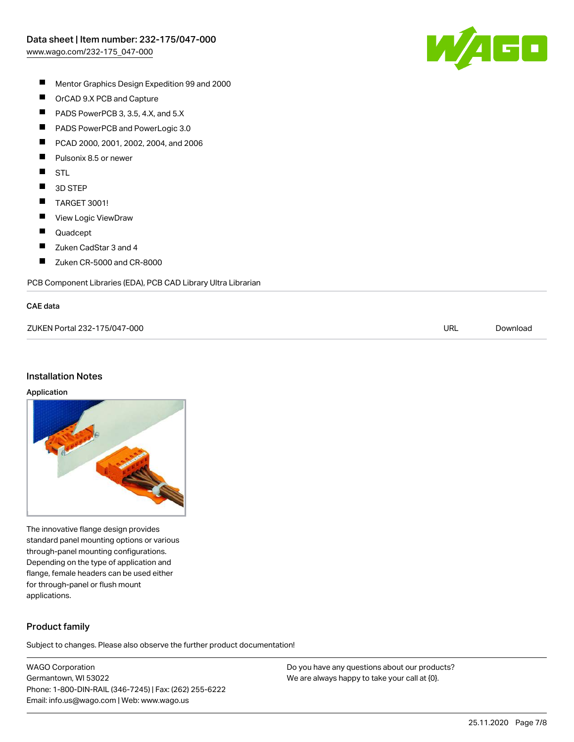

- $\blacksquare$ Mentor Graphics Design Expedition 99 and 2000
- $\blacksquare$ OrCAD 9.X PCB and Capture
- $\blacksquare$ PADS PowerPCB 3, 3.5, 4.X, and 5.X
- $\blacksquare$ PADS PowerPCB and PowerLogic 3.0
- $\blacksquare$ PCAD 2000, 2001, 2002, 2004, and 2006
- $\blacksquare$ Pulsonix 8.5 or newer
- $\blacksquare$ STL
- $\blacksquare$ 3D STEP
- $\blacksquare$ TARGET 3001!
- $\blacksquare$ View Logic ViewDraw
- $\blacksquare$ Quadcept
- $\blacksquare$ Zuken CadStar 3 and 4
- $\blacksquare$ Zuken CR-5000 and CR-8000

PCB Component Libraries (EDA), PCB CAD Library Ultra Librarian

#### CAE data

| ZUKEN Portal 232-175/047-000 | URL | Download |
|------------------------------|-----|----------|
|                              |     |          |

#### Installation Notes

#### Application



The innovative flange design provides standard panel mounting options or various through-panel mounting configurations. Depending on the type of application and flange, female headers can be used either for through-panel or flush mount applications.

## Product family

Subject to changes. Please also observe the further product documentation!

WAGO Corporation Germantown, WI 53022 Phone: 1-800-DIN-RAIL (346-7245) | Fax: (262) 255-6222 Email: info.us@wago.com | Web: www.wago.us